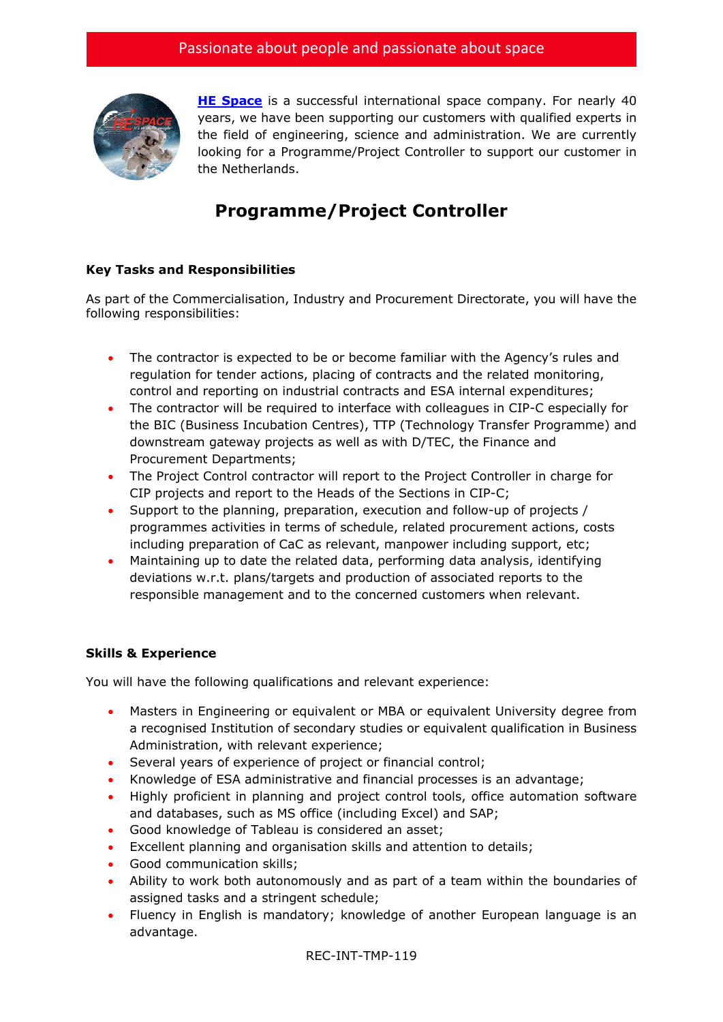

**[HE Space](http://www.hespace.com/)** is a successful international space company. For nearly 40 years, we have been supporting our customers with qualified experts in the field of engineering, science and administration. We are currently looking for a Programme/Project Controller to support our customer in the Netherlands.

## **Programme/Project Controller**

## **Key Tasks and Responsibilities**

As part of the Commercialisation, Industry and Procurement Directorate, you will have the following responsibilities:

- The contractor is expected to be or become familiar with the Agency's rules and regulation for tender actions, placing of contracts and the related monitoring, control and reporting on industrial contracts and ESA internal expenditures;
- The contractor will be required to interface with colleagues in CIP-C especially for the BIC (Business Incubation Centres), TTP (Technology Transfer Programme) and downstream gateway projects as well as with D/TEC, the Finance and Procurement Departments;
- The Project Control contractor will report to the Project Controller in charge for CIP projects and report to the Heads of the Sections in CIP-C;
- Support to the planning, preparation, execution and follow-up of projects / programmes activities in terms of schedule, related procurement actions, costs including preparation of CaC as relevant, manpower including support, etc;
- Maintaining up to date the related data, performing data analysis, identifying deviations w.r.t. plans/targets and production of associated reports to the responsible management and to the concerned customers when relevant.

## **Skills & Experience**

You will have the following qualifications and relevant experience:

- Masters in Engineering or equivalent or MBA or equivalent University degree from a recognised Institution of secondary studies or equivalent qualification in Business Administration, with relevant experience;
- Several years of experience of project or financial control;
- Knowledge of ESA administrative and financial processes is an advantage;
- Highly proficient in planning and project control tools, office automation software and databases, such as MS office (including Excel) and SAP;
- Good knowledge of Tableau is considered an asset;
- Excellent planning and organisation skills and attention to details;
- Good communication skills:
- Ability to work both autonomously and as part of a team within the boundaries of assigned tasks and a stringent schedule;
- Fluency in English is mandatory; knowledge of another European language is an advantage.